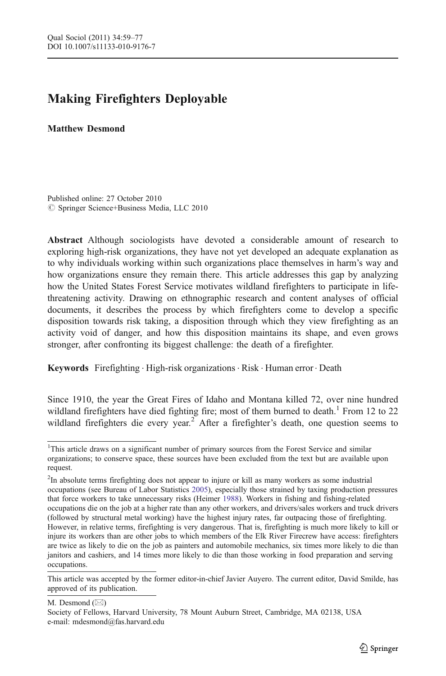# Making Firefighters Deployable

## Matthew Desmond

Published online: 27 October 2010  $\oslash$  Springer Science+Business Media, LLC 2010

Abstract Although sociologists have devoted a considerable amount of research to exploring high-risk organizations, they have not yet developed an adequate explanation as to why individuals working within such organizations place themselves in harm's way and how organizations ensure they remain there. This article addresses this gap by analyzing how the United States Forest Service motivates wildland firefighters to participate in lifethreatening activity. Drawing on ethnographic research and content analyses of official documents, it describes the process by which firefighters come to develop a specific disposition towards risk taking, a disposition through which they view firefighting as an activity void of danger, and how this disposition maintains its shape, and even grows stronger, after confronting its biggest challenge: the death of a firefighter.

Keywords Firefighting . High-risk organizations . Risk . Human error. Death

Since 1910, the year the Great Fires of Idaho and Montana killed 72, over nine hundred wildland firefighters have died fighting fire; most of them burned to death.<sup>1</sup> From 12 to 22 wildland firefighters die every year.<sup>2</sup> After a firefighter's death, one question seems to

M. Desmond  $(\boxtimes)$ 

Society of Fellows, Harvard University, 78 Mount Auburn Street, Cambridge, MA 02138, USA e-mail: mdesmond@fas.harvard.edu

<sup>&</sup>lt;sup>1</sup>This article draws on a significant number of primary sources from the Forest Service and similar organizations; to conserve space, these sources have been excluded from the text but are available upon request.

<sup>&</sup>lt;sup>2</sup>In absolute terms firefighting does not appear to injure or kill as many workers as some industrial occupations (see Bureau of Labor Statistics [2005](#page-16-0)), especially those strained by taxing production pressures that force workers to take unnecessary risks (Heimer [1988](#page-17-0)). Workers in fishing and fishing-related occupations die on the job at a higher rate than any other workers, and drivers/sales workers and truck drivers (followed by structural metal working) have the highest injury rates, far outpacing those of firefighting. However, in relative terms, firefighting is very dangerous. That is, firefighting is much more likely to kill or injure its workers than are other jobs to which members of the Elk River Firecrew have access: firefighters are twice as likely to die on the job as painters and automobile mechanics, six times more likely to die than janitors and cashiers, and 14 times more likely to die than those working in food preparation and serving occupations.

This article was accepted by the former editor-in-chief Javier Auyero. The current editor, David Smilde, has approved of its publication.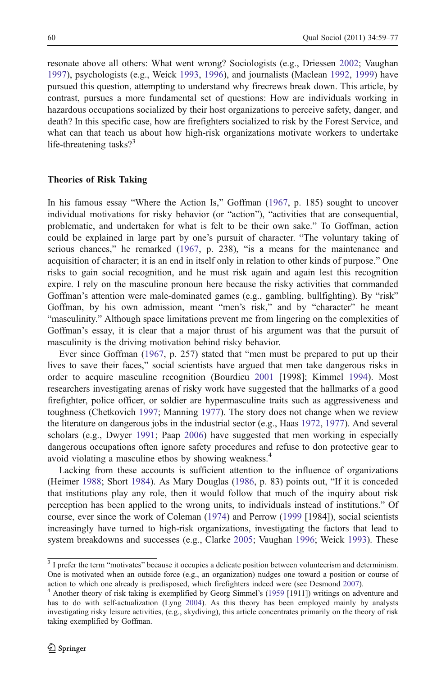resonate above all others: What went wrong? Sociologists (e.g., Driessen [2002](#page-16-0); Vaughan [1997\)](#page-17-0), psychologists (e.g., Weick [1993,](#page-17-0) [1996](#page-18-0)), and journalists (Maclean [1992](#page-17-0), [1999\)](#page-17-0) have pursued this question, attempting to understand why firecrews break down. This article, by contrast, pursues a more fundamental set of questions: How are individuals working in hazardous occupations socialized by their host organizations to perceive safety, danger, and death? In this specific case, how are firefighters socialized to risk by the Forest Service, and what can that teach us about how high-risk organizations motivate workers to undertake life-threatening tasks? $3^3$ 

## Theories of Risk Taking

In his famous essay "Where the Action Is," Goffman ([1967,](#page-17-0) p. 185) sought to uncover individual motivations for risky behavior (or "action"), "activities that are consequential, problematic, and undertaken for what is felt to be their own sake." To Goffman, action could be explained in large part by one's pursuit of character. "The voluntary taking of serious chances," he remarked [\(1967,](#page-17-0) p. 238), "is a means for the maintenance and acquisition of character; it is an end in itself only in relation to other kinds of purpose." One risks to gain social recognition, and he must risk again and again lest this recognition expire. I rely on the masculine pronoun here because the risky activities that commanded Goffman's attention were male-dominated games (e.g., gambling, bullfighting). By "risk" Goffman, by his own admission, meant "men's risk," and by "character" he meant "masculinity." Although space limitations prevent me from lingering on the complexities of Goffman's essay, it is clear that a major thrust of his argument was that the pursuit of masculinity is the driving motivation behind risky behavior.

Ever since Goffman [\(1967](#page-17-0), p. 257) stated that "men must be prepared to put up their lives to save their faces," social scientists have argued that men take dangerous risks in order to acquire masculine recognition (Bourdieu [2001](#page-16-0) [1998]; Kimmel [1994\)](#page-17-0). Most researchers investigating arenas of risky work have suggested that the hallmarks of a good firefighter, police officer, or soldier are hypermasculine traits such as aggressiveness and toughness (Chetkovich [1997;](#page-16-0) Manning [1977](#page-17-0)). The story does not change when we review the literature on dangerous jobs in the industrial sector (e.g., Haas [1972,](#page-17-0) [1977\)](#page-17-0). And several scholars (e.g., Dwyer [1991;](#page-16-0) Paap [2006\)](#page-17-0) have suggested that men working in especially dangerous occupations often ignore safety procedures and refuse to don protective gear to avoid violating a masculine ethos by showing weakness.4

Lacking from these accounts is sufficient attention to the influence of organizations (Heimer [1988;](#page-17-0) Short [1984](#page-17-0)). As Mary Douglas ([1986](#page-16-0), p. 83) points out, "If it is conceded that institutions play any role, then it would follow that much of the inquiry about risk perception has been applied to the wrong units, to individuals instead of institutions." Of course, ever since the work of Coleman [\(1974](#page-16-0)) and Perrow ([1999](#page-17-0) [1984]), social scientists increasingly have turned to high-risk organizations, investigating the factors that lead to system breakdowns and successes (e.g., Clarke [2005](#page-16-0); Vaughan [1996](#page-17-0); Weick [1993\)](#page-17-0). These

<sup>&</sup>lt;sup>3</sup> I prefer the term "motivates" because it occupies a delicate position between volunteerism and determinism. One is motivated when an outside force (e.g., an organization) nudges one toward a position or course of action to which one already is predisposed, which firefighters indeed were (see Desmond [2007\)](#page-16-0).<br><sup>4</sup> Another theory of risk taking is exemplified by Georg Simmel's [\(1959](#page-17-0) [1911]) writings on adventure and

has to do with self-actualization (Lyng [2004\)](#page-17-0). As this theory has been employed mainly by analysts investigating risky leisure activities, (e.g., skydiving), this article concentrates primarily on the theory of risk taking exemplified by Goffman.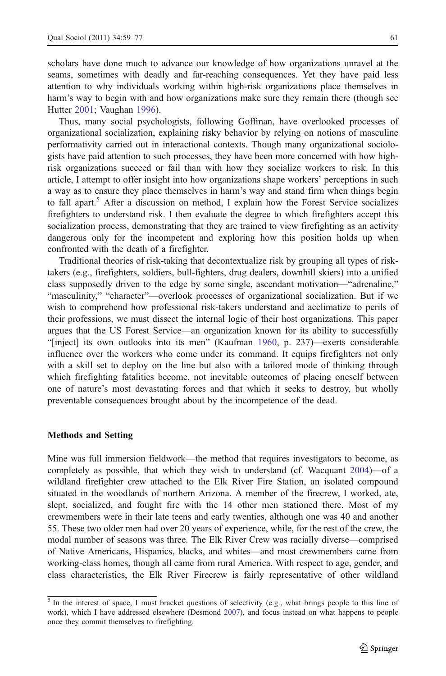scholars have done much to advance our knowledge of how organizations unravel at the seams, sometimes with deadly and far-reaching consequences. Yet they have paid less attention to why individuals working within high-risk organizations place themselves in harm's way to begin with and how organizations make sure they remain there (though see Hutter [2001;](#page-17-0) Vaughan [1996](#page-17-0)).

Thus, many social psychologists, following Goffman, have overlooked processes of organizational socialization, explaining risky behavior by relying on notions of masculine performativity carried out in interactional contexts. Though many organizational sociologists have paid attention to such processes, they have been more concerned with how highrisk organizations succeed or fail than with how they socialize workers to risk. In this article, I attempt to offer insight into how organizations shape workers' perceptions in such a way as to ensure they place themselves in harm's way and stand firm when things begin to fall apart.<sup>5</sup> After a discussion on method, I explain how the Forest Service socializes firefighters to understand risk. I then evaluate the degree to which firefighters accept this socialization process, demonstrating that they are trained to view firefighting as an activity dangerous only for the incompetent and exploring how this position holds up when confronted with the death of a firefighter.

Traditional theories of risk-taking that decontextualize risk by grouping all types of risktakers (e.g., firefighters, soldiers, bull-fighters, drug dealers, downhill skiers) into a unified class supposedly driven to the edge by some single, ascendant motivation—"adrenaline," "masculinity," "character"—overlook processes of organizational socialization. But if we wish to comprehend how professional risk-takers understand and acclimatize to perils of their professions, we must dissect the internal logic of their host organizations. This paper argues that the US Forest Service—an organization known for its ability to successfully "[inject] its own outlooks into its men" (Kaufman [1960,](#page-17-0) p. 237)—exerts considerable influence over the workers who come under its command. It equips firefighters not only with a skill set to deploy on the line but also with a tailored mode of thinking through which firefighting fatalities become, not inevitable outcomes of placing oneself between one of nature's most devastating forces and that which it seeks to destroy, but wholly preventable consequences brought about by the incompetence of the dead.

### Methods and Setting

Mine was full immersion fieldwork—the method that requires investigators to become, as completely as possible, that which they wish to understand (cf. Wacquant [2004\)](#page-17-0)—of a wildland firefighter crew attached to the Elk River Fire Station, an isolated compound situated in the woodlands of northern Arizona. A member of the firecrew, I worked, ate, slept, socialized, and fought fire with the 14 other men stationed there. Most of my crewmembers were in their late teens and early twenties, although one was 40 and another 55. These two older men had over 20 years of experience, while, for the rest of the crew, the modal number of seasons was three. The Elk River Crew was racially diverse—comprised of Native Americans, Hispanics, blacks, and whites—and most crewmembers came from working-class homes, though all came from rural America. With respect to age, gender, and class characteristics, the Elk River Firecrew is fairly representative of other wildland

<sup>&</sup>lt;sup>5</sup> In the interest of space, I must bracket questions of selectivity (e.g., what brings people to this line of work), which I have addressed elsewhere (Desmond [2007\)](#page-16-0), and focus instead on what happens to people once they commit themselves to firefighting.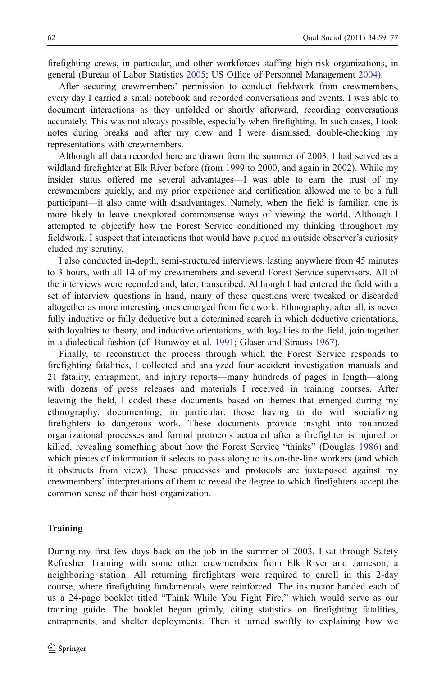firefighting crews, in particular, and other workforces staffing high-risk organizations, in general (Bureau of Labor Statistics [2005;](#page-16-0) US Office of Personnel Management [2004](#page-17-0)).

After securing crewmembers' permission to conduct fieldwork from crewmembers, every day I carried a small notebook and recorded conversations and events. I was able to document interactions as they unfolded or shortly afterward, recording conversations accurately. This was not always possible, especially when firefighting. In such cases, I took notes during breaks and after my crew and I were dismissed, double-checking my representations with crewmembers.

Although all data recorded here are drawn from the summer of 2003, I had served as a wildland firefighter at Elk River before (from 1999 to 2000, and again in 2002). While my insider status offered me several advantages—I was able to earn the trust of my crewmembers quickly, and my prior experience and certification allowed me to be a full participant—it also came with disadvantages. Namely, when the field is familiar, one is more likely to leave unexplored commonsense ways of viewing the world. Although I attempted to objectify how the Forest Service conditioned my thinking throughout my fieldwork, I suspect that interactions that would have piqued an outside observer's curiosity eluded my scrutiny.

I also conducted in-depth, semi-structured interviews, lasting anywhere from 45 minutes to 3 hours, with all 14 of my crewmembers and several Forest Service supervisors. All of the interviews were recorded and, later, transcribed. Although I had entered the field with a set of interview questions in hand, many of these questions were tweaked or discarded altogether as more interesting ones emerged from fieldwork. Ethnography, after all, is never fully inductive or fully deductive but a determined search in which deductive orientations, with loyalties to theory, and inductive orientations, with loyalties to the field, join together in a dialectical fashion (cf. Burawoy et al. [1991;](#page-16-0) Glaser and Strauss [1967\)](#page-17-0).

Finally, to reconstruct the process through which the Forest Service responds to firefighting fatalities, I collected and analyzed four accident investigation manuals and 21 fatality, entrapment, and injury reports—many hundreds of pages in length—along with dozens of press releases and materials I received in training courses. After leaving the field, I coded these documents based on themes that emerged during my ethnography, documenting, in particular, those having to do with socializing firefighters to dangerous work. These documents provide insight into routinized organizational processes and formal protocols actuated after a firefighter is injured or killed, revealing something about how the Forest Service "thinks" (Douglas [1986\)](#page-16-0) and which pieces of information it selects to pass along to its on-the-line workers (and which it obstructs from view). These processes and protocols are juxtaposed against my crewmembers' interpretations of them to reveal the degree to which firefighters accept the common sense of their host organization.

### Training

During my first few days back on the job in the summer of 2003, I sat through Safety Refresher Training with some other crewmembers from Elk River and Jameson, a neighboring station. All returning firefighters were required to enroll in this 2-day course, where firefighting fundamentals were reinforced. The instructor handed each of us a 24-page booklet titled "Think While You Fight Fire," which would serve as our training guide. The booklet began grimly, citing statistics on firefighting fatalities, entrapments, and shelter deployments. Then it turned swiftly to explaining how we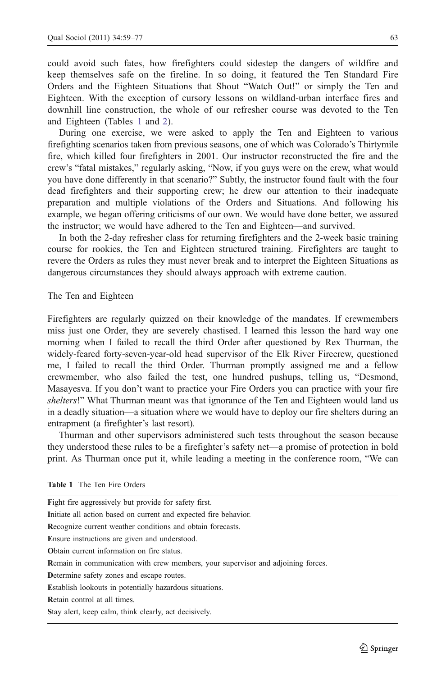could avoid such fates, how firefighters could sidestep the dangers of wildfire and keep themselves safe on the fireline. In so doing, it featured the Ten Standard Fire Orders and the Eighteen Situations that Shout "Watch Out!" or simply the Ten and Eighteen. With the exception of cursory lessons on wildland-urban interface fires and downhill line construction, the whole of our refresher course was devoted to the Ten and Eighteen (Tables 1 and [2](#page-5-0)).

During one exercise, we were asked to apply the Ten and Eighteen to various firefighting scenarios taken from previous seasons, one of which was Colorado's Thirtymile fire, which killed four firefighters in 2001. Our instructor reconstructed the fire and the crew's "fatal mistakes," regularly asking, "Now, if you guys were on the crew, what would you have done differently in that scenario?" Subtly, the instructor found fault with the four dead firefighters and their supporting crew; he drew our attention to their inadequate preparation and multiple violations of the Orders and Situations. And following his example, we began offering criticisms of our own. We would have done better, we assured the instructor; we would have adhered to the Ten and Eighteen—and survived.

In both the 2-day refresher class for returning firefighters and the 2-week basic training course for rookies, the Ten and Eighteen structured training. Firefighters are taught to revere the Orders as rules they must never break and to interpret the Eighteen Situations as dangerous circumstances they should always approach with extreme caution.

#### The Ten and Eighteen

Firefighters are regularly quizzed on their knowledge of the mandates. If crewmembers miss just one Order, they are severely chastised. I learned this lesson the hard way one morning when I failed to recall the third Order after questioned by Rex Thurman, the widely-feared forty-seven-year-old head supervisor of the Elk River Firecrew, questioned me, I failed to recall the third Order. Thurman promptly assigned me and a fellow crewmember, who also failed the test, one hundred pushups, telling us, "Desmond, Masayesva. If you don't want to practice your Fire Orders you can practice with your fire shelters!" What Thurman meant was that ignorance of the Ten and Eighteen would land us in a deadly situation—a situation where we would have to deploy our fire shelters during an entrapment (a firefighter's last resort).

Thurman and other supervisors administered such tests throughout the season because they understood these rules to be a firefighter's safety net—a promise of protection in bold print. As Thurman once put it, while leading a meeting in the conference room, "We can

#### Table 1 The Ten Fire Orders

Fight fire aggressively but provide for safety first. Initiate all action based on current and expected fire behavior. Recognize current weather conditions and obtain forecasts. Ensure instructions are given and understood. Obtain current information on fire status. Remain in communication with crew members, your supervisor and adjoining forces. Determine safety zones and escape routes. Establish lookouts in potentially hazardous situations. Retain control at all times. Stay alert, keep calm, think clearly, act decisively.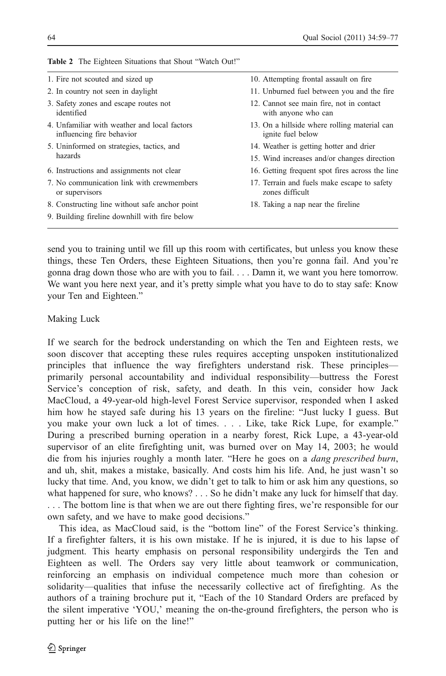1. Fire not scouted and sized up 10. Attempting frontal assault on fire 2. In country not seen in daylight 11. Unburned fuel between you and the fire 3. Safety zones and escape routes not identified 12. Cannot see main fire, not in contact with anyone who can 4. Unfamiliar with weather and local factors influencing fire behavior 13. On a hillside where rolling material can ignite fuel below 5. Uninformed on strategies, tactics, and hazards 14. Weather is getting hotter and drier 15. Wind increases and/or changes direction 6. Instructions and assignments not clear 16. Getting frequent spot fires across the line 7. No communication link with crewmembers or supervisors 17. Terrain and fuels make escape to safety zones difficult 8. Constructing line without safe anchor point 18. Taking a nap near the fireline 9. Building fireline downhill with fire below

<span id="page-5-0"></span>Table 2 The Eighteen Situations that Shout "Watch Out!"

send you to training until we fill up this room with certificates, but unless you know these things, these Ten Orders, these Eighteen Situations, then you're gonna fail. And you're gonna drag down those who are with you to fail. . . . Damn it, we want you here tomorrow. We want you here next year, and it's pretty simple what you have to do to stay safe: Know your Ten and Eighteen."

## Making Luck

If we search for the bedrock understanding on which the Ten and Eighteen rests, we soon discover that accepting these rules requires accepting unspoken institutionalized principles that influence the way firefighters understand risk. These principles primarily personal accountability and individual responsibility—buttress the Forest Service's conception of risk, safety, and death. In this vein, consider how Jack MacCloud, a 49-year-old high-level Forest Service supervisor, responded when I asked him how he stayed safe during his 13 years on the fireline: "Just lucky I guess. But you make your own luck a lot of times. . . . Like, take Rick Lupe, for example." During a prescribed burning operation in a nearby forest, Rick Lupe, a 43-year-old supervisor of an elite firefighting unit, was burned over on May 14, 2003; he would die from his injuries roughly a month later. "Here he goes on a dang prescribed burn, and uh, shit, makes a mistake, basically. And costs him his life. And, he just wasn't so lucky that time. And, you know, we didn't get to talk to him or ask him any questions, so what happened for sure, who knows? . . . So he didn't make any luck for himself that day. . . . The bottom line is that when we are out there fighting fires, we're responsible for our own safety, and we have to make good decisions."

This idea, as MacCloud said, is the "bottom line" of the Forest Service's thinking. If a firefighter falters, it is his own mistake. If he is injured, it is due to his lapse of judgment. This hearty emphasis on personal responsibility undergirds the Ten and Eighteen as well. The Orders say very little about teamwork or communication, reinforcing an emphasis on individual competence much more than cohesion or solidarity—qualities that infuse the necessarily collective act of firefighting. As the authors of a training brochure put it, "Each of the 10 Standard Orders are prefaced by the silent imperative 'YOU,' meaning the on-the-ground firefighters, the person who is putting her or his life on the line!"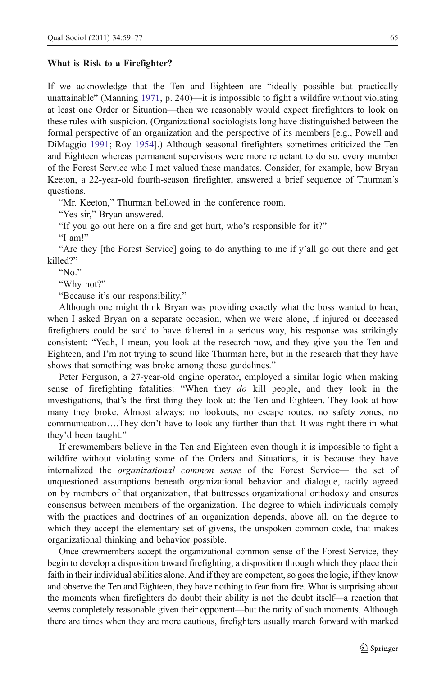#### What is Risk to a Firefighter?

If we acknowledge that the Ten and Eighteen are "ideally possible but practically unattainable" (Manning [1971,](#page-17-0) p. 240)—it is impossible to fight a wildfire without violating at least one Order or Situation—then we reasonably would expect firefighters to look on these rules with suspicion. (Organizational sociologists long have distinguished between the formal perspective of an organization and the perspective of its members [e.g., Powell and DiMaggio [1991;](#page-17-0) Roy [1954\]](#page-17-0).) Although seasonal firefighters sometimes criticized the Ten and Eighteen whereas permanent supervisors were more reluctant to do so, every member of the Forest Service who I met valued these mandates. Consider, for example, how Bryan Keeton, a 22-year-old fourth-season firefighter, answered a brief sequence of Thurman's questions.

"Mr. Keeton," Thurman bellowed in the conference room.

"Yes sir," Bryan answered.

"If you go out here on a fire and get hurt, who's responsible for it?"

"I am!"

"Are they [the Forest Service] going to do anything to me if y'all go out there and get killed?"

"No."

"Why not?"

"Because it's our responsibility."

Although one might think Bryan was providing exactly what the boss wanted to hear, when I asked Bryan on a separate occasion, when we were alone, if injured or deceased firefighters could be said to have faltered in a serious way, his response was strikingly consistent: "Yeah, I mean, you look at the research now, and they give you the Ten and Eighteen, and I'm not trying to sound like Thurman here, but in the research that they have shows that something was broke among those guidelines."

Peter Ferguson, a 27-year-old engine operator, employed a similar logic when making sense of firefighting fatalities: "When they do kill people, and they look in the investigations, that's the first thing they look at: the Ten and Eighteen. They look at how many they broke. Almost always: no lookouts, no escape routes, no safety zones, no communication….They don't have to look any further than that. It was right there in what they'd been taught."

If crewmembers believe in the Ten and Eighteen even though it is impossible to fight a wildfire without violating some of the Orders and Situations, it is because they have internalized the organizational common sense of the Forest Service— the set of unquestioned assumptions beneath organizational behavior and dialogue, tacitly agreed on by members of that organization, that buttresses organizational orthodoxy and ensures consensus between members of the organization. The degree to which individuals comply with the practices and doctrines of an organization depends, above all, on the degree to which they accept the elementary set of givens, the unspoken common code, that makes organizational thinking and behavior possible.

Once crewmembers accept the organizational common sense of the Forest Service, they begin to develop a disposition toward firefighting, a disposition through which they place their faith in their individual abilities alone. And if they are competent, so goes the logic, if they know and observe the Ten and Eighteen, they have nothing to fear from fire. What is surprising about the moments when firefighters do doubt their ability is not the doubt itself—a reaction that seems completely reasonable given their opponent—but the rarity of such moments. Although there are times when they are more cautious, firefighters usually march forward with marked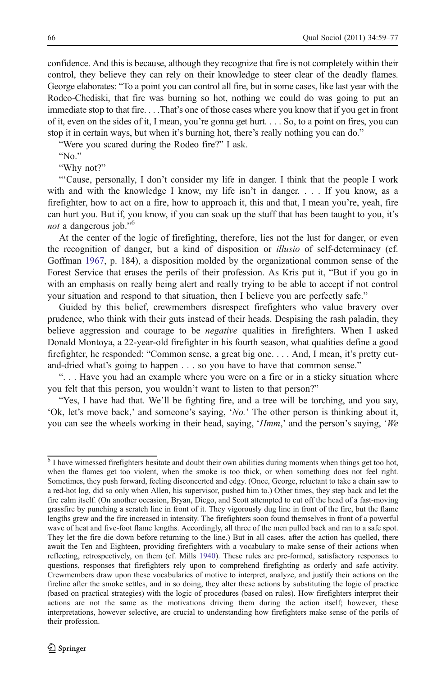confidence. And this is because, although they recognize that fire is not completely within their control, they believe they can rely on their knowledge to steer clear of the deadly flames. George elaborates: "To a point you can control all fire, but in some cases, like last year with the Rodeo-Chediski, that fire was burning so hot, nothing we could do was going to put an immediate stop to that fire. . . .That's one of those cases where you know that if you get in front of it, even on the sides of it, I mean, you're gonna get hurt. . . . So, to a point on fires, you can stop it in certain ways, but when it's burning hot, there's really nothing you can do."

"Were you scared during the Rodeo fire?" I ask.

"No."

"Why not?"

"'Cause, personally, I don't consider my life in danger. I think that the people I work with and with the knowledge I know, my life isn't in danger. . . . If you know, as a firefighter, how to act on a fire, how to approach it, this and that, I mean you're, yeah, fire can hurt you. But if, you know, if you can soak up the stuff that has been taught to you, it's not a dangerous job."<sup>6</sup>

At the center of the logic of firefighting, therefore, lies not the lust for danger, or even the recognition of danger, but a kind of disposition or *illusio* of self-determinacy (cf. Goffman [1967,](#page-17-0) p. 184), a disposition molded by the organizational common sense of the Forest Service that erases the perils of their profession. As Kris put it, "But if you go in with an emphasis on really being alert and really trying to be able to accept if not control your situation and respond to that situation, then I believe you are perfectly safe."

Guided by this belief, crewmembers disrespect firefighters who value bravery over prudence, who think with their guts instead of their heads. Despising the rash paladin, they believe aggression and courage to be *negative* qualities in firefighters. When I asked Donald Montoya, a 22-year-old firefighter in his fourth season, what qualities define a good firefighter, he responded: "Common sense, a great big one. . . . And, I mean, it's pretty cutand-dried what's going to happen . . . so you have to have that common sense."

". . . Have you had an example where you were on a fire or in a sticky situation where you felt that this person, you wouldn't want to listen to that person?"

"Yes, I have had that. We'll be fighting fire, and a tree will be torching, and you say, 'Ok, let's move back,' and someone's saying, 'No.' The other person is thinking about it, you can see the wheels working in their head, saying, 'Hmm,' and the person's saying, 'We

<sup>&</sup>lt;sup>6</sup> I have witnessed firefighters hesitate and doubt their own abilities during moments when things get too hot, when the flames get too violent, when the smoke is too thick, or when something does not feel right. Sometimes, they push forward, feeling disconcerted and edgy. (Once, George, reluctant to take a chain saw to a red-hot log, did so only when Allen, his supervisor, pushed him to.) Other times, they step back and let the fire calm itself. (On another occasion, Bryan, Diego, and Scott attempted to cut off the head of a fast-moving grassfire by punching a scratch line in front of it. They vigorously dug line in front of the fire, but the flame lengths grew and the fire increased in intensity. The firefighters soon found themselves in front of a powerful wave of heat and five-foot flame lengths. Accordingly, all three of the men pulled back and ran to a safe spot. They let the fire die down before returning to the line.) But in all cases, after the action has quelled, there await the Ten and Eighteen, providing firefighters with a vocabulary to make sense of their actions when reflecting, retrospectively, on them (cf. Mills [1940](#page-17-0)). These rules are pre-formed, satisfactory responses to questions, responses that firefighters rely upon to comprehend firefighting as orderly and safe activity. Crewmembers draw upon these vocabularies of motive to interpret, analyze, and justify their actions on the fireline after the smoke settles, and in so doing, they alter these actions by substituting the logic of practice (based on practical strategies) with the logic of procedures (based on rules). How firefighters interpret their actions are not the same as the motivations driving them during the action itself; however, these interpretations, however selective, are crucial to understanding how firefighters make sense of the perils of their profession.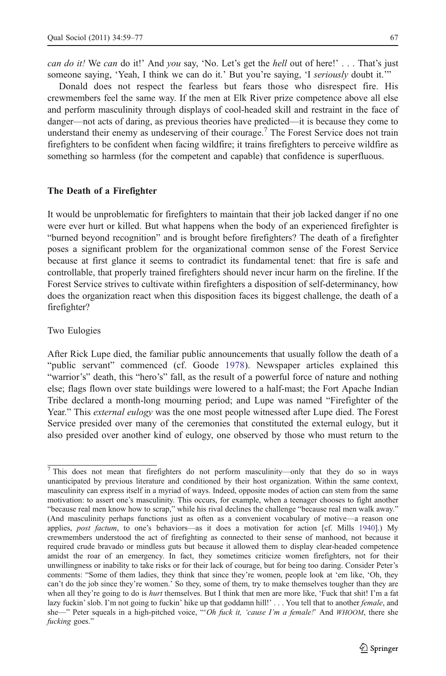can do it! We can do it!' And you say, 'No. Let's get the hell out of here!' . . . That's just someone saying, 'Yeah, I think we can do it.' But you're saying, 'I *seriously* doubt it.'"

Donald does not respect the fearless but fears those who disrespect fire. His crewmembers feel the same way. If the men at Elk River prize competence above all else and perform masculinity through displays of cool-headed skill and restraint in the face of danger—not acts of daring, as previous theories have predicted—it is because they come to understand their enemy as undeserving of their courage.<sup>7</sup> The Forest Service does not train firefighters to be confident when facing wildfire; it trains firefighters to perceive wildfire as something so harmless (for the competent and capable) that confidence is superfluous.

## The Death of a Firefighter

It would be unproblematic for firefighters to maintain that their job lacked danger if no one were ever hurt or killed. But what happens when the body of an experienced firefighter is "burned beyond recognition" and is brought before firefighters? The death of a firefighter poses a significant problem for the organizational common sense of the Forest Service because at first glance it seems to contradict its fundamental tenet: that fire is safe and controllable, that properly trained firefighters should never incur harm on the fireline. If the Forest Service strives to cultivate within firefighters a disposition of self-determinancy, how does the organization react when this disposition faces its biggest challenge, the death of a firefighter?

### Two Eulogies

After Rick Lupe died, the familiar public announcements that usually follow the death of a "public servant" commenced (cf. Goode [1978](#page-17-0)). Newspaper articles explained this "warrior's" death, this "hero's" fall, as the result of a powerful force of nature and nothing else; flags flown over state buildings were lowered to a half-mast; the Fort Apache Indian Tribe declared a month-long mourning period; and Lupe was named "Firefighter of the Year." This external eulogy was the one most people witnessed after Lupe died. The Forest Service presided over many of the ceremonies that constituted the external eulogy, but it also presided over another kind of eulogy, one observed by those who must return to the

 $\frac{7}{7}$  This does not mean that firefighters do not perform masculinity—only that they do so in ways unanticipated by previous literature and conditioned by their host organization. Within the same context, masculinity can express itself in a myriad of ways. Indeed, opposite modes of action can stem from the same motivation: to assert one's masculinity. This occurs, for example, when a teenager chooses to fight another "because real men know how to scrap," while his rival declines the challenge "because real men walk away." (And masculinity perhaps functions just as often as a convenient vocabulary of motive—a reason one applies, post factum, to one's behaviors—as it does a motivation for action [cf. Mills [1940\]](#page-17-0).) My crewmembers understood the act of firefighting as connected to their sense of manhood, not because it required crude bravado or mindless guts but because it allowed them to display clear-headed competence amidst the roar of an emergency. In fact, they sometimes criticize women firefighters, not for their unwillingness or inability to take risks or for their lack of courage, but for being too daring. Consider Peter's comments: "Some of them ladies, they think that since they're women, people look at 'em like, 'Oh, they can't do the job since they're women.' So they, some of them, try to make themselves tougher than they are when all they're going to do is *hurt* themselves. But I think that men are more like, 'Fuck that shit! I'm a fat lazy fuckin' slob. I'm not going to fuckin' hike up that goddamn hill!' . . . You tell that to another *female*, and she—" Peter squeals in a high-pitched voice, "'Oh fuck it, 'cause I'm a female!' And WHOOM, there she fucking goes."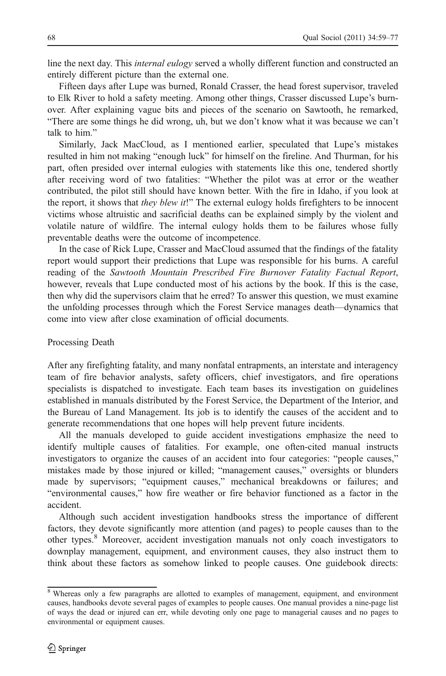line the next day. This *internal eulogy* served a wholly different function and constructed an entirely different picture than the external one.

Fifteen days after Lupe was burned, Ronald Crasser, the head forest supervisor, traveled to Elk River to hold a safety meeting. Among other things, Crasser discussed Lupe's burnover. After explaining vague bits and pieces of the scenario on Sawtooth, he remarked, "There are some things he did wrong, uh, but we don't know what it was because we can't talk to him."

Similarly, Jack MacCloud, as I mentioned earlier, speculated that Lupe's mistakes resulted in him not making "enough luck" for himself on the fireline. And Thurman, for his part, often presided over internal eulogies with statements like this one, tendered shortly after receiving word of two fatalities: "Whether the pilot was at error or the weather contributed, the pilot still should have known better. With the fire in Idaho, if you look at the report, it shows that *they blew it*!" The external eulogy holds firefighters to be innocent victims whose altruistic and sacrificial deaths can be explained simply by the violent and volatile nature of wildfire. The internal eulogy holds them to be failures whose fully preventable deaths were the outcome of incompetence.

In the case of Rick Lupe, Crasser and MacCloud assumed that the findings of the fatality report would support their predictions that Lupe was responsible for his burns. A careful reading of the Sawtooth Mountain Prescribed Fire Burnover Fatality Factual Report, however, reveals that Lupe conducted most of his actions by the book. If this is the case, then why did the supervisors claim that he erred? To answer this question, we must examine the unfolding processes through which the Forest Service manages death—dynamics that come into view after close examination of official documents.

## Processing Death

After any firefighting fatality, and many nonfatal entrapments, an interstate and interagency team of fire behavior analysts, safety officers, chief investigators, and fire operations specialists is dispatched to investigate. Each team bases its investigation on guidelines established in manuals distributed by the Forest Service, the Department of the Interior, and the Bureau of Land Management. Its job is to identify the causes of the accident and to generate recommendations that one hopes will help prevent future incidents.

All the manuals developed to guide accident investigations emphasize the need to identify multiple causes of fatalities. For example, one often-cited manual instructs investigators to organize the causes of an accident into four categories: "people causes," mistakes made by those injured or killed; "management causes," oversights or blunders made by supervisors; "equipment causes," mechanical breakdowns or failures; and "environmental causes," how fire weather or fire behavior functioned as a factor in the accident.

Although such accident investigation handbooks stress the importance of different factors, they devote significantly more attention (and pages) to people causes than to the other types.<sup>8</sup> Moreover, accident investigation manuals not only coach investigators to downplay management, equipment, and environment causes, they also instruct them to think about these factors as somehow linked to people causes. One guidebook directs:

<sup>8</sup> Whereas only a few paragraphs are allotted to examples of management, equipment, and environment causes, handbooks devote several pages of examples to people causes. One manual provides a nine-page list of ways the dead or injured can err, while devoting only one page to managerial causes and no pages to environmental or equipment causes.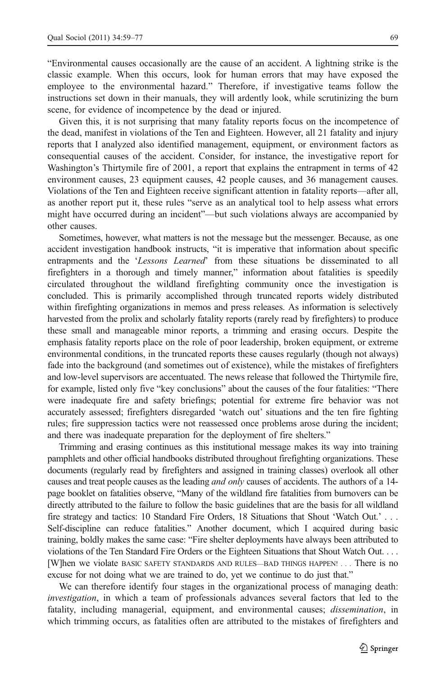"Environmental causes occasionally are the cause of an accident. A lightning strike is the classic example. When this occurs, look for human errors that may have exposed the employee to the environmental hazard." Therefore, if investigative teams follow the instructions set down in their manuals, they will ardently look, while scrutinizing the burn scene, for evidence of incompetence by the dead or injured.

Given this, it is not surprising that many fatality reports focus on the incompetence of the dead, manifest in violations of the Ten and Eighteen. However, all 21 fatality and injury reports that I analyzed also identified management, equipment, or environment factors as consequential causes of the accident. Consider, for instance, the investigative report for Washington's Thirtymile fire of 2001, a report that explains the entrapment in terms of 42 environment causes, 23 equipment causes, 42 people causes, and 36 management causes. Violations of the Ten and Eighteen receive significant attention in fatality reports—after all, as another report put it, these rules "serve as an analytical tool to help assess what errors might have occurred during an incident"—but such violations always are accompanied by other causes.

Sometimes, however, what matters is not the message but the messenger. Because, as one accident investigation handbook instructs, "it is imperative that information about specific entrapments and the 'Lessons Learned' from these situations be disseminated to all firefighters in a thorough and timely manner," information about fatalities is speedily circulated throughout the wildland firefighting community once the investigation is concluded. This is primarily accomplished through truncated reports widely distributed within firefighting organizations in memos and press releases. As information is selectively harvested from the prolix and scholarly fatality reports (rarely read by firefighters) to produce these small and manageable minor reports, a trimming and erasing occurs. Despite the emphasis fatality reports place on the role of poor leadership, broken equipment, or extreme environmental conditions, in the truncated reports these causes regularly (though not always) fade into the background (and sometimes out of existence), while the mistakes of firefighters and low-level supervisors are accentuated. The news release that followed the Thirtymile fire, for example, listed only five "key conclusions" about the causes of the four fatalities: "There were inadequate fire and safety briefings; potential for extreme fire behavior was not accurately assessed; firefighters disregarded 'watch out' situations and the ten fire fighting rules; fire suppression tactics were not reassessed once problems arose during the incident; and there was inadequate preparation for the deployment of fire shelters."

Trimming and erasing continues as this institutional message makes its way into training pamphlets and other official handbooks distributed throughout firefighting organizations. These documents (regularly read by firefighters and assigned in training classes) overlook all other causes and treat people causes as the leading *and only* causes of accidents. The authors of a 14page booklet on fatalities observe, "Many of the wildland fire fatalities from burnovers can be directly attributed to the failure to follow the basic guidelines that are the basis for all wildland fire strategy and tactics: 10 Standard Fire Orders, 18 Situations that Shout 'Watch Out.' ... Self-discipline can reduce fatalities." Another document, which I acquired during basic training, boldly makes the same case: "Fire shelter deployments have always been attributed to violations of the Ten Standard Fire Orders or the Eighteen Situations that Shout Watch Out. . . . [W]hen we violate BASIC SAFETY STANDARDS AND RULES—BAD THINGS HAPPEN! . . . There is no excuse for not doing what we are trained to do, yet we continue to do just that."

We can therefore identify four stages in the organizational process of managing death: investigation, in which a team of professionals advances several factors that led to the fatality, including managerial, equipment, and environmental causes; dissemination, in which trimming occurs, as fatalities often are attributed to the mistakes of firefighters and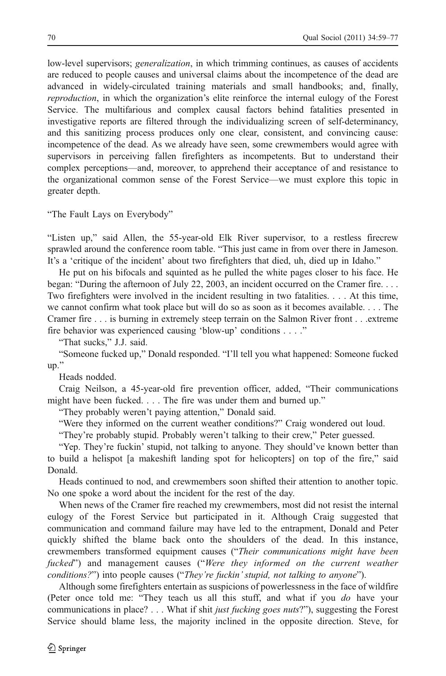low-level supervisors; *generalization*, in which trimming continues, as causes of accidents are reduced to people causes and universal claims about the incompetence of the dead are advanced in widely-circulated training materials and small handbooks; and, finally, reproduction, in which the organization's elite reinforce the internal eulogy of the Forest Service. The multifarious and complex causal factors behind fatalities presented in investigative reports are filtered through the individualizing screen of self-determinancy, and this sanitizing process produces only one clear, consistent, and convincing cause: incompetence of the dead. As we already have seen, some crewmembers would agree with supervisors in perceiving fallen firefighters as incompetents. But to understand their complex perceptions—and, moreover, to apprehend their acceptance of and resistance to the organizational common sense of the Forest Service—we must explore this topic in greater depth.

"The Fault Lays on Everybody"

"Listen up," said Allen, the 55-year-old Elk River supervisor, to a restless firecrew sprawled around the conference room table. "This just came in from over there in Jameson. It's a 'critique of the incident' about two firefighters that died, uh, died up in Idaho."

He put on his bifocals and squinted as he pulled the white pages closer to his face. He began: "During the afternoon of July 22, 2003, an incident occurred on the Cramer fire.... Two firefighters were involved in the incident resulting in two fatalities. . . . At this time, we cannot confirm what took place but will do so as soon as it becomes available. . . . The Cramer fire . . . is burning in extremely steep terrain on the Salmon River front . . .extreme fire behavior was experienced causing 'blow-up' conditions . . . ."

"That sucks," J.J. said.

"Someone fucked up," Donald responded. "I'll tell you what happened: Someone fucked up."

Heads nodded.

Craig Neilson, a 45-year-old fire prevention officer, added, "Their communications might have been fucked. . . . The fire was under them and burned up."

"They probably weren't paying attention," Donald said.

"Were they informed on the current weather conditions?" Craig wondered out loud.

"They're probably stupid. Probably weren't talking to their crew," Peter guessed.

"Yep. They're fuckin' stupid, not talking to anyone. They should've known better than to build a helispot [a makeshift landing spot for helicopters] on top of the fire," said Donald.

Heads continued to nod, and crewmembers soon shifted their attention to another topic. No one spoke a word about the incident for the rest of the day.

When news of the Cramer fire reached my crewmembers, most did not resist the internal eulogy of the Forest Service but participated in it. Although Craig suggested that communication and command failure may have led to the entrapment, Donald and Peter quickly shifted the blame back onto the shoulders of the dead. In this instance, crewmembers transformed equipment causes ("Their communications might have been fucked") and management causes ("Were they informed on the current weather conditions?") into people causes ("They're fuckin' stupid, not talking to anyone").

Although some firefighters entertain as suspicions of powerlessness in the face of wildfire (Peter once told me: "They teach us all this stuff, and what if you do have your communications in place? . . . What if shit *just fucking goes nuts?"*), suggesting the Forest Service should blame less, the majority inclined in the opposite direction. Steve, for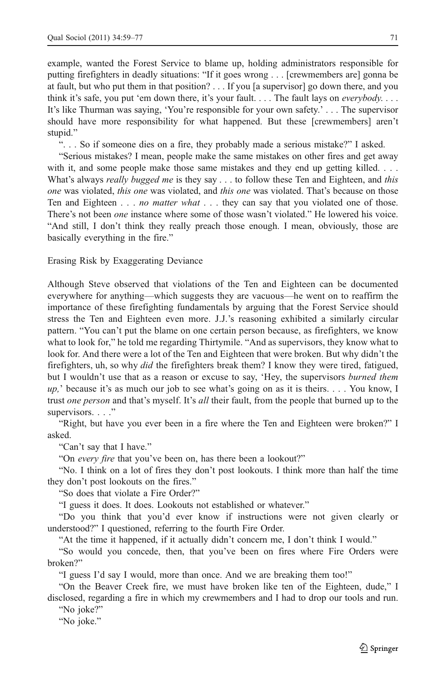example, wanted the Forest Service to blame up, holding administrators responsible for putting firefighters in deadly situations: "If it goes wrong . . . [crewmembers are] gonna be at fault, but who put them in that position? . . . If you [a supervisor] go down there, and you think it's safe, you put 'em down there, it's your fault. ... The fault lays on *everybody.*... It's like Thurman was saying, 'You're responsible for your own safety.' . . . The supervisor should have more responsibility for what happened. But these [crewmembers] aren't stupid."

". . . So if someone dies on a fire, they probably made a serious mistake?" I asked.

"Serious mistakes? I mean, people make the same mistakes on other fires and get away with it, and some people make those same mistakes and they end up getting killed. . . . What's always *really bugged me* is they say . . . to follow these Ten and Eighteen, and *this* one was violated, this one was violated, and this one was violated. That's because on those Ten and Eighteen . . . no matter what . . . they can say that you violated one of those. There's not been *one* instance where some of those wasn't violated." He lowered his voice. "And still, I don't think they really preach those enough. I mean, obviously, those are basically everything in the fire."

#### Erasing Risk by Exaggerating Deviance

Although Steve observed that violations of the Ten and Eighteen can be documented everywhere for anything—which suggests they are vacuous—he went on to reaffirm the importance of these firefighting fundamentals by arguing that the Forest Service should stress the Ten and Eighteen even more. J.J.'s reasoning exhibited a similarly circular pattern. "You can't put the blame on one certain person because, as firefighters, we know what to look for," he told me regarding Thirtymile. "And as supervisors, they know what to look for. And there were a lot of the Ten and Eighteen that were broken. But why didn't the firefighters, uh, so why did the firefighters break them? I know they were tired, fatigued, but I wouldn't use that as a reason or excuse to say, 'Hey, the supervisors burned them up,' because it's as much our job to see what's going on as it is theirs. . . . You know, I trust *one person* and that's myself. It's *all* their fault, from the people that burned up to the supervisors. . . ."

"Right, but have you ever been in a fire where the Ten and Eighteen were broken?" I asked.

"Can't say that I have."

"On every fire that you've been on, has there been a lookout?"

"No. I think on a lot of fires they don't post lookouts. I think more than half the time they don't post lookouts on the fires."

"So does that violate a Fire Order?"

"I guess it does. It does. Lookouts not established or whatever."

"Do you think that you'd ever know if instructions were not given clearly or understood?" I questioned, referring to the fourth Fire Order.

"At the time it happened, if it actually didn't concern me, I don't think I would."

"So would you concede, then, that you've been on fires where Fire Orders were broken?"

"I guess I'd say I would, more than once. And we are breaking them too!"

"On the Beaver Creek fire, we must have broken like ten of the Eighteen, dude," I disclosed, regarding a fire in which my crewmembers and I had to drop our tools and run.

"No joke?"

"No joke."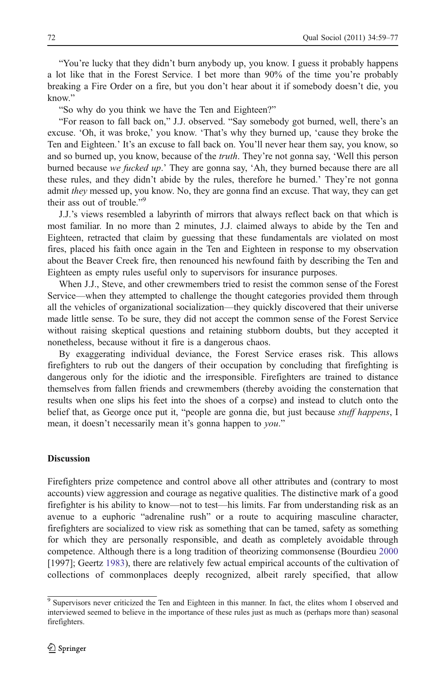"You're lucky that they didn't burn anybody up, you know. I guess it probably happens a lot like that in the Forest Service. I bet more than 90% of the time you're probably breaking a Fire Order on a fire, but you don't hear about it if somebody doesn't die, you know."

"So why do you think we have the Ten and Eighteen?"

"For reason to fall back on," J.J. observed. "Say somebody got burned, well, there's an excuse. 'Oh, it was broke,' you know. 'That's why they burned up, 'cause they broke the Ten and Eighteen.' It's an excuse to fall back on. You'll never hear them say, you know, so and so burned up, you know, because of the *truth*. They're not gonna say, 'Well this person burned because we fucked up.' They are gonna say, 'Ah, they burned because there are all these rules, and they didn't abide by the rules, therefore he burned.' They're not gonna admit they messed up, you know. No, they are gonna find an excuse. That way, they can get their ass out of trouble."<sup>9</sup>

J.J.'s views resembled a labyrinth of mirrors that always reflect back on that which is most familiar. In no more than 2 minutes, J.J. claimed always to abide by the Ten and Eighteen, retracted that claim by guessing that these fundamentals are violated on most fires, placed his faith once again in the Ten and Eighteen in response to my observation about the Beaver Creek fire, then renounced his newfound faith by describing the Ten and Eighteen as empty rules useful only to supervisors for insurance purposes.

When J.J., Steve, and other crewmembers tried to resist the common sense of the Forest Service—when they attempted to challenge the thought categories provided them through all the vehicles of organizational socialization—they quickly discovered that their universe made little sense. To be sure, they did not accept the common sense of the Forest Service without raising skeptical questions and retaining stubborn doubts, but they accepted it nonetheless, because without it fire is a dangerous chaos.

By exaggerating individual deviance, the Forest Service erases risk. This allows firefighters to rub out the dangers of their occupation by concluding that firefighting is dangerous only for the idiotic and the irresponsible. Firefighters are trained to distance themselves from fallen friends and crewmembers (thereby avoiding the consternation that results when one slips his feet into the shoes of a corpse) and instead to clutch onto the belief that, as George once put it, "people are gonna die, but just because *stuff happens*, I mean, it doesn't necessarily mean it's gonna happen to you."

## **Discussion**

Firefighters prize competence and control above all other attributes and (contrary to most accounts) view aggression and courage as negative qualities. The distinctive mark of a good firefighter is his ability to know—not to test—his limits. Far from understanding risk as an avenue to a euphoric "adrenaline rush" or a route to acquiring masculine character, firefighters are socialized to view risk as something that can be tamed, safety as something for which they are personally responsible, and death as completely avoidable through competence. Although there is a long tradition of theorizing commonsense (Bourdieu [2000](#page-16-0) [1997]; Geertz [1983](#page-17-0)), there are relatively few actual empirical accounts of the cultivation of collections of commonplaces deeply recognized, albeit rarely specified, that allow

<sup>&</sup>lt;sup>9</sup> Supervisors never criticized the Ten and Eighteen in this manner. In fact, the elites whom I observed and interviewed seemed to believe in the importance of these rules just as much as (perhaps more than) seasonal firefighters.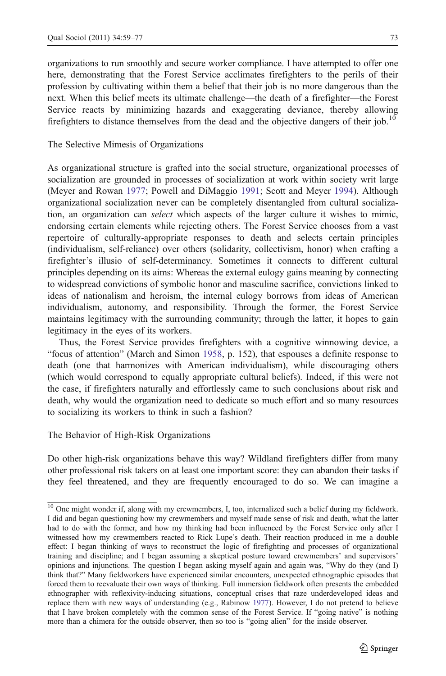organizations to run smoothly and secure worker compliance. I have attempted to offer one here, demonstrating that the Forest Service acclimates firefighters to the perils of their profession by cultivating within them a belief that their job is no more dangerous than the next. When this belief meets its ultimate challenge—the death of a firefighter—the Forest Service reacts by minimizing hazards and exaggerating deviance, thereby allowing firefighters to distance themselves from the dead and the objective dangers of their job.<sup>10</sup>

## The Selective Mimesis of Organizations

As organizational structure is grafted into the social structure, organizational processes of socialization are grounded in processes of socialization at work within society writ large (Meyer and Rowan [1977](#page-17-0); Powell and DiMaggio [1991](#page-17-0); Scott and Meyer [1994](#page-17-0)). Although organizational socialization never can be completely disentangled from cultural socialization, an organization can *select* which aspects of the larger culture it wishes to mimic, endorsing certain elements while rejecting others. The Forest Service chooses from a vast repertoire of culturally-appropriate responses to death and selects certain principles (individualism, self-reliance) over others (solidarity, collectivism, honor) when crafting a firefighter's illusio of self-determinancy. Sometimes it connects to different cultural principles depending on its aims: Whereas the external eulogy gains meaning by connecting to widespread convictions of symbolic honor and masculine sacrifice, convictions linked to ideas of nationalism and heroism, the internal eulogy borrows from ideas of American individualism, autonomy, and responsibility. Through the former, the Forest Service maintains legitimacy with the surrounding community; through the latter, it hopes to gain legitimacy in the eyes of its workers.

Thus, the Forest Service provides firefighters with a cognitive winnowing device, a "focus of attention" (March and Simon [1958,](#page-17-0) p. 152), that espouses a definite response to death (one that harmonizes with American individualism), while discouraging others (which would correspond to equally appropriate cultural beliefs). Indeed, if this were not the case, if firefighters naturally and effortlessly came to such conclusions about risk and death, why would the organization need to dedicate so much effort and so many resources to socializing its workers to think in such a fashion?

The Behavior of High-Risk Organizations

Do other high-risk organizations behave this way? Wildland firefighters differ from many other professional risk takers on at least one important score: they can abandon their tasks if they feel threatened, and they are frequently encouraged to do so. We can imagine a

 $\frac{10}{10}$  One might wonder if, along with my crewmembers, I, too, internalized such a belief during my fieldwork. I did and began questioning how my crewmembers and myself made sense of risk and death, what the latter had to do with the former, and how my thinking had been influenced by the Forest Service only after I witnessed how my crewmembers reacted to Rick Lupe's death. Their reaction produced in me a double effect: I began thinking of ways to reconstruct the logic of firefighting and processes of organizational training and discipline; and I began assuming a skeptical posture toward crewmembers' and supervisors' opinions and injunctions. The question I began asking myself again and again was, "Why do they (and I) think that?" Many fieldworkers have experienced similar encounters, unexpected ethnographic episodes that forced them to reevaluate their own ways of thinking. Full immersion fieldwork often presents the embedded ethnographer with reflexivity-inducing situations, conceptual crises that raze underdeveloped ideas and replace them with new ways of understanding (e.g., Rabinow [1977](#page-17-0)). However, I do not pretend to believe that I have broken completely with the common sense of the Forest Service. If "going native" is nothing more than a chimera for the outside observer, then so too is "going alien" for the inside observer.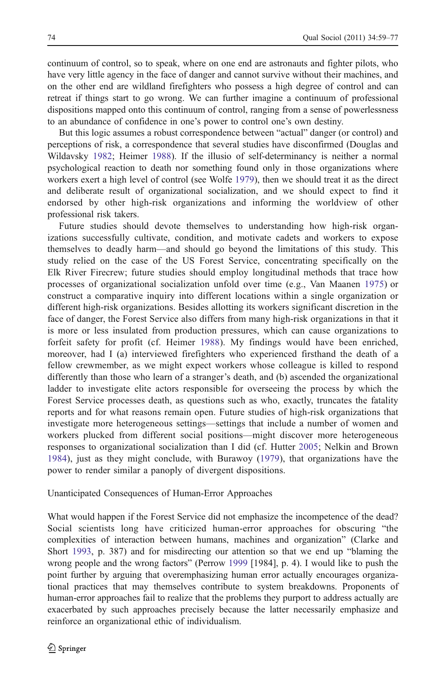continuum of control, so to speak, where on one end are astronauts and fighter pilots, who have very little agency in the face of danger and cannot survive without their machines, and on the other end are wildland firefighters who possess a high degree of control and can retreat if things start to go wrong. We can further imagine a continuum of professional dispositions mapped onto this continuum of control, ranging from a sense of powerlessness to an abundance of confidence in one's power to control one's own destiny.

But this logic assumes a robust correspondence between "actual" danger (or control) and perceptions of risk, a correspondence that several studies have disconfirmed (Douglas and Wildavsky [1982](#page-16-0); Heimer [1988\)](#page-17-0). If the illusio of self-determinancy is neither a normal psychological reaction to death nor something found only in those organizations where workers exert a high level of control (see Wolfe [1979\)](#page-18-0), then we should treat it as the direct and deliberate result of organizational socialization, and we should expect to find it endorsed by other high-risk organizations and informing the worldview of other professional risk takers.

Future studies should devote themselves to understanding how high-risk organizations successfully cultivate, condition, and motivate cadets and workers to expose themselves to deadly harm—and should go beyond the limitations of this study. This study relied on the case of the US Forest Service, concentrating specifically on the Elk River Firecrew; future studies should employ longitudinal methods that trace how processes of organizational socialization unfold over time (e.g., Van Maanen [1975\)](#page-17-0) or construct a comparative inquiry into different locations within a single organization or different high-risk organizations. Besides allotting its workers significant discretion in the face of danger, the Forest Service also differs from many high-risk organizations in that it is more or less insulated from production pressures, which can cause organizations to forfeit safety for profit (cf. Heimer [1988\)](#page-17-0). My findings would have been enriched, moreover, had I (a) interviewed firefighters who experienced firsthand the death of a fellow crewmember, as we might expect workers whose colleague is killed to respond differently than those who learn of a stranger's death, and (b) ascended the organizational ladder to investigate elite actors responsible for overseeing the process by which the Forest Service processes death, as questions such as who, exactly, truncates the fatality reports and for what reasons remain open. Future studies of high-risk organizations that investigate more heterogeneous settings—settings that include a number of women and workers plucked from different social positions—might discover more heterogeneous responses to organizational socialization than I did (cf. Hutter [2005;](#page-17-0) Nelkin and Brown [1984](#page-17-0)), just as they might conclude, with Burawoy [\(1979\)](#page-16-0), that organizations have the power to render similar a panoply of divergent dispositions.

## Unanticipated Consequences of Human-Error Approaches

What would happen if the Forest Service did not emphasize the incompetence of the dead? Social scientists long have criticized human-error approaches for obscuring "the complexities of interaction between humans, machines and organization" (Clarke and Short [1993](#page-16-0), p. 387) and for misdirecting our attention so that we end up "blaming the wrong people and the wrong factors" (Perrow [1999](#page-17-0) [1984], p. 4). I would like to push the point further by arguing that overemphasizing human error actually encourages organizational practices that may themselves contribute to system breakdowns. Proponents of human-error approaches fail to realize that the problems they purport to address actually are exacerbated by such approaches precisely because the latter necessarily emphasize and reinforce an organizational ethic of individualism.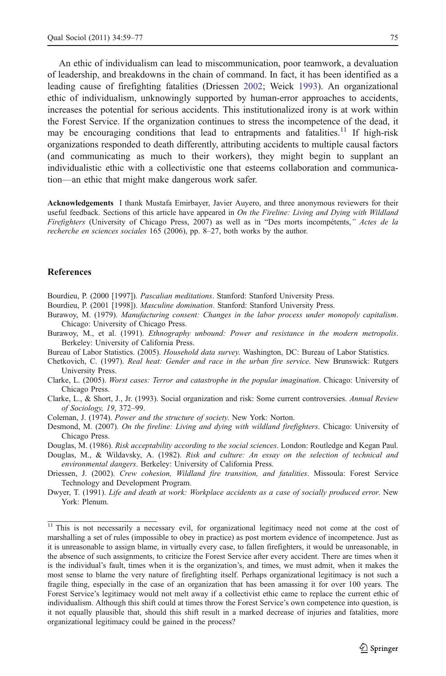<span id="page-16-0"></span>An ethic of individualism can lead to miscommunication, poor teamwork, a devaluation of leadership, and breakdowns in the chain of command. In fact, it has been identified as a leading cause of firefighting fatalities (Driessen 2002; Weick [1993](#page-17-0)). An organizational ethic of individualism, unknowingly supported by human-error approaches to accidents, increases the potential for serious accidents. This institutionalized irony is at work within the Forest Service. If the organization continues to stress the incompetence of the dead, it may be encouraging conditions that lead to entrapments and fatalities.<sup>11</sup> If high-risk organizations responded to death differently, attributing accidents to multiple causal factors (and communicating as much to their workers), they might begin to supplant an individualistic ethic with a collectivistic one that esteems collaboration and communication—an ethic that might make dangerous work safer.

Acknowledgements I thank Mustafa Emirbayer, Javier Auyero, and three anonymous reviewers for their useful feedback. Sections of this article have appeared in On the Fireline: Living and Dying with Wildland Firefighters (University of Chicago Press, 2007) as well as in "Des morts incompétents," Actes de la recherche en sciences sociales 165 (2006), pp. 8–27, both works by the author.

#### References

Bourdieu, P. (2000 [1997]). Pascalian meditations. Stanford: Stanford University Press.

Bourdieu, P. (2001 [1998]). Masculine domination. Stanford: Stanford University Press.

- Burawoy, M. (1979). Manufacturing consent: Changes in the labor process under monopoly capitalism. Chicago: University of Chicago Press.
- Burawoy, M., et al. (1991). *Ethnography unbound: Power and resistance in the modern metropolis.* Berkeley: University of California Press.

Bureau of Labor Statistics. (2005). Household data survey. Washington, DC: Bureau of Labor Statistics.

- Chetkovich, C. (1997). Real heat: Gender and race in the urban fire service. New Brunswick: Rutgers University Press.
- Clarke, L. (2005). Worst cases: Terror and catastrophe in the popular imagination. Chicago: University of Chicago Press.
- Clarke, L., & Short, J., Jr. (1993). Social organization and risk: Some current controversies. Annual Review of Sociology, 19, 372–99.

Coleman, J. (1974). Power and the structure of society. New York: Norton.

Desmond, M. (2007). On the fireline: Living and dying with wildland firefighters. Chicago: University of Chicago Press.

Douglas, M. (1986). Risk acceptability according to the social sciences. London: Routledge and Kegan Paul.

Douglas, M., & Wildavsky, A. (1982). Risk and culture: An essay on the selection of technical and environmental dangers. Berkeley: University of California Press.

Driessen, J. (2002). Crew cohesion, Wildland fire transition, and fatalities. Missoula: Forest Service Technology and Development Program.

Dwyer, T. (1991). Life and death at work: Workplace accidents as a case of socially produced error. New York: Plenum.

<sup>&</sup>lt;sup>11</sup> This is not necessarily a necessary evil, for organizational legitimacy need not come at the cost of marshalling a set of rules (impossible to obey in practice) as post mortem evidence of incompetence. Just as it is unreasonable to assign blame, in virtually every case, to fallen firefighters, it would be unreasonable, in the absence of such assignments, to criticize the Forest Service after every accident. There are times when it is the individual's fault, times when it is the organization's, and times, we must admit, when it makes the most sense to blame the very nature of firefighting itself. Perhaps organizational legitimacy is not such a fragile thing, especially in the case of an organization that has been amassing it for over 100 years. The Forest Service's legitimacy would not melt away if a collectivist ethic came to replace the current ethic of individualism. Although this shift could at times throw the Forest Service's own competence into question, is it not equally plausible that, should this shift result in a marked decrease of injuries and fatalities, more organizational legitimacy could be gained in the process?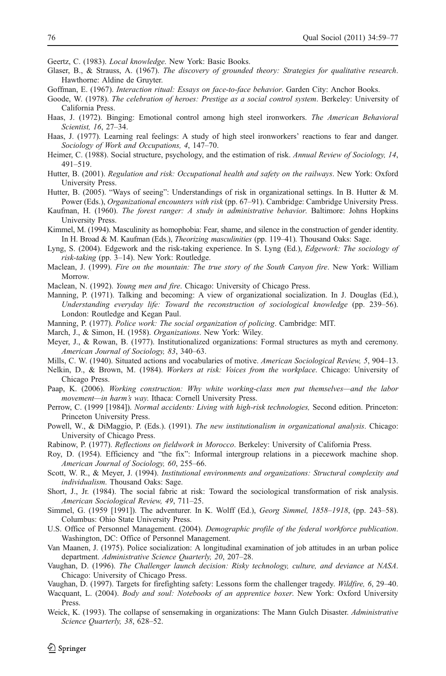<span id="page-17-0"></span>Geertz, C. (1983). Local knowledge. New York: Basic Books.

- Glaser, B., & Strauss, A. (1967). The discovery of grounded theory: Strategies for qualitative research. Hawthorne: Aldine de Gruyter.
- Goffman, E. (1967). Interaction ritual: Essays on face-to-face behavior. Garden City: Anchor Books.
- Goode, W. (1978). The celebration of heroes: Prestige as a social control system. Berkeley: University of California Press.
- Haas, J. (1972). Binging: Emotional control among high steel ironworkers. The American Behavioral Scientist, 16, 27–34.
- Haas, J. (1977). Learning real feelings: A study of high steel ironworkers' reactions to fear and danger. Sociology of Work and Occupations, 4, 147–70.
- Heimer, C. (1988). Social structure, psychology, and the estimation of risk. Annual Review of Sociology, 14, 491–519.
- Hutter, B. (2001). Regulation and risk: Occupational health and safety on the railways. New York: Oxford University Press.
- Hutter, B. (2005). "Ways of seeing": Understandings of risk in organizational settings. In B. Hutter & M. Power (Eds.), Organizational encounters with risk (pp. 67-91). Cambridge: Cambridge University Press.
- Kaufman, H. (1960). The forest ranger: A study in administrative behavior. Baltimore: Johns Hopkins University Press.
- Kimmel, M. (1994). Masculinity as homophobia: Fear, shame, and silence in the construction of gender identity. In H. Broad & M. Kaufman (Eds.), Theorizing masculinities (pp. 119-41). Thousand Oaks: Sage.
- Lyng, S. (2004). Edgework and the risk-taking experience. In S. Lyng (Ed.), *Edgework: The sociology of* risk-taking (pp. 3–14). New York: Routledge.
- Maclean, J. (1999). Fire on the mountain: The true story of the South Canyon fire. New York: William Morrow.
- Maclean, N. (1992). Young men and fire. Chicago: University of Chicago Press.
- Manning, P. (1971). Talking and becoming: A view of organizational socialization. In J. Douglas (Ed.), Understanding everyday life: Toward the reconstruction of sociological knowledge (pp. 239–56). London: Routledge and Kegan Paul.
- Manning, P. (1977). Police work: The social organization of policing. Cambridge: MIT.
- March, J., & Simon, H. (1958). Organizations. New York: Wiley.
- Meyer, J., & Rowan, B. (1977). Institutionalized organizations: Formal structures as myth and ceremony. American Journal of Sociology, 83, 340–63.
- Mills, C. W. (1940). Situated actions and vocabularies of motive. American Sociological Review, 5, 904-13.
- Nelkin, D., & Brown, M. (1984). Workers at risk: Voices from the workplace. Chicago: University of Chicago Press.
- Paap, K. (2006). Working construction: Why white working-class men put themselves—and the labor movement—in harm's way. Ithaca: Cornell University Press.
- Perrow, C. (1999 [1984]). Normal accidents: Living with high-risk technologies, Second edition. Princeton: Princeton University Press.
- Powell, W., & DiMaggio, P. (Eds.). (1991). The new institutionalism in organizational analysis. Chicago: University of Chicago Press.
- Rabinow, P. (1977). Reflections on fieldwork in Morocco. Berkeley: University of California Press.
- Roy, D. (1954). Efficiency and "the fix": Informal intergroup relations in a piecework machine shop. American Journal of Sociology, 60, 255–66.
- Scott, W. R., & Meyer, J. (1994). Institutional environments and organizations: Structural complexity and individualism. Thousand Oaks: Sage.
- Short, J., Jr. (1984). The social fabric at risk: Toward the sociological transformation of risk analysis. American Sociological Review, 49, 711–25.
- Simmel, G. (1959 [1991]). The adventurer. In K. Wolff (Ed.), Georg Simmel, 1858–1918, (pp. 243–58). Columbus: Ohio State University Press.
- U.S. Office of Personnel Management. (2004). Demographic profile of the federal workforce publication. Washington, DC: Office of Personnel Management.
- Van Maanen, J. (1975). Police socialization: A longitudinal examination of job attitudes in an urban police department. Administrative Science Quarterly, 20, 207–28.
- Vaughan, D. (1996). The Challenger launch decision: Risky technology, culture, and deviance at NASA. Chicago: University of Chicago Press.
- Vaughan, D. (1997). Targets for firefighting safety: Lessons form the challenger tragedy. Wildfire, 6, 29–40.
- Wacquant, L. (2004). *Body and soul: Notebooks of an apprentice boxer*. New York: Oxford University Press.
- Weick, K. (1993). The collapse of sensemaking in organizations: The Mann Gulch Disaster. Administrative Science Quarterly, 38, 628–52.